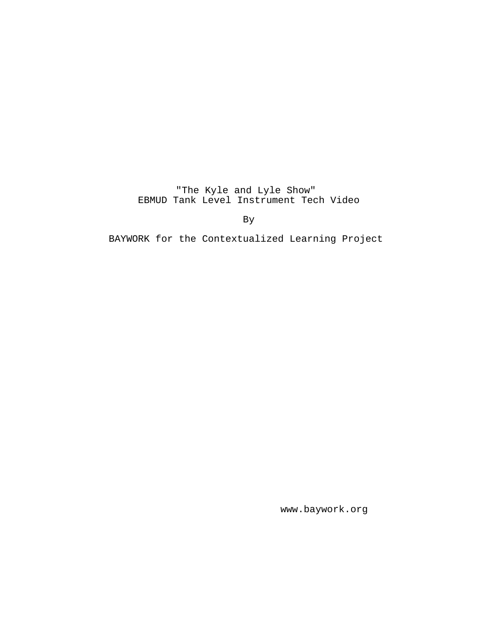"The Kyle and Lyle Show" EBMUD Tank Level Instrument Tech Video

By

BAYWORK for the Contextualized Learning Project

www.baywork.org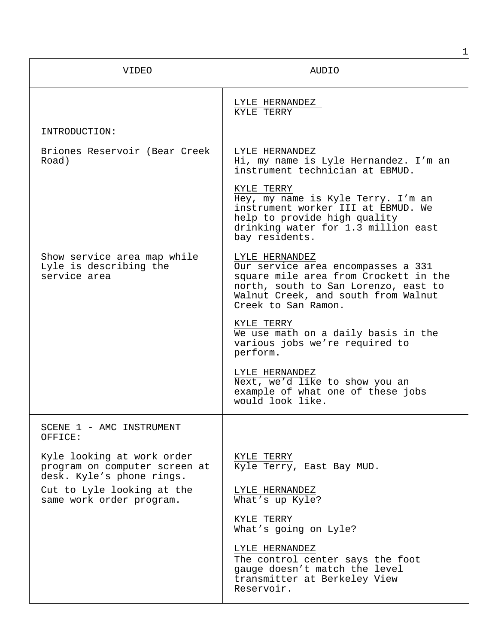| <b>VIDEO</b>                                                                             | AUDIO                                                                                                                                                                                               |
|------------------------------------------------------------------------------------------|-----------------------------------------------------------------------------------------------------------------------------------------------------------------------------------------------------|
|                                                                                          | LYLE HERNANDEZ<br>KYLE TERRY                                                                                                                                                                        |
| INTRODUCTION:                                                                            |                                                                                                                                                                                                     |
| Briones Reservoir (Bear Creek<br>Road)                                                   | LYLE HERNANDEZ<br>Hi, my name is Lyle Hernandez. I'm an<br>instrument technician at EBMUD.                                                                                                          |
|                                                                                          | KYLE TERRY<br>Hey, my name is Kyle Terry. I'm an<br>instrument worker III at EBMUD. We<br>help to provide high quality<br>drinking water for 1.3 million east<br>bay residents.                     |
| Show service area map while<br>Lyle is describing the<br>service area                    | LYLE HERNANDEZ<br>Our service area encompasses a 331<br>square mile area from Crockett in the<br>north, south to San Lorenzo, east to<br>Walnut Creek, and south from Walnut<br>Creek to San Ramon. |
|                                                                                          | KYLE TERRY<br>We use math on a daily basis in the<br>various jobs we're required to<br>perform.                                                                                                     |
|                                                                                          | LYLE HERNANDEZ<br>Next, we'd like to show you an<br>example of what one of these jobs<br>would look like.                                                                                           |
| SCENE 1 - AMC INSTRUMENT<br>OFFICE:                                                      |                                                                                                                                                                                                     |
| Kyle looking at work order<br>program on computer screen at<br>desk. Kyle's phone rings. | KYLE TERRY<br>Kyle Terry, East Bay MUD.                                                                                                                                                             |
| Cut to Lyle looking at the<br>same work order program.                                   | LYLE HERNANDEZ<br>What's up Kyle?                                                                                                                                                                   |
|                                                                                          | KYLE TERRY<br>What's going on Lyle?                                                                                                                                                                 |
|                                                                                          | LYLE HERNANDEZ<br>The control center says the foot<br>gauge doesn't match the level<br>transmitter at Berkeley View<br>Reservoir.                                                                   |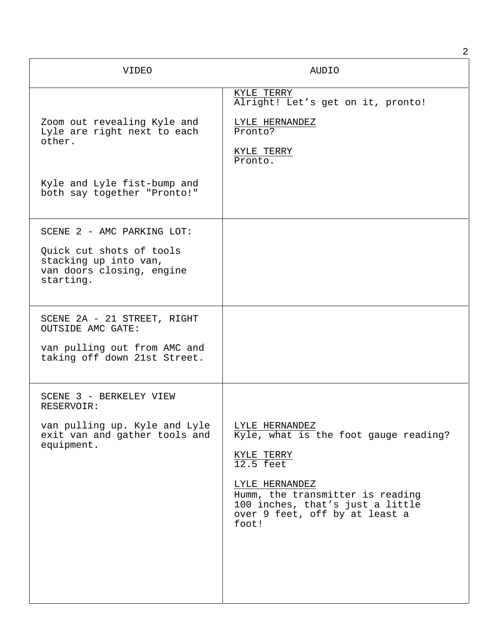|                                                                                                                           | 2                                                                                                                                                                                                                         |
|---------------------------------------------------------------------------------------------------------------------------|---------------------------------------------------------------------------------------------------------------------------------------------------------------------------------------------------------------------------|
| VIDEO                                                                                                                     | <b>AUDIO</b>                                                                                                                                                                                                              |
| Zoom out revealing Kyle and<br>Lyle are right next to each<br>other.                                                      | KYLE TERRY<br>Alright! Let's get on it, pronto!<br>LYLE HERNANDEZ<br>Pronto?<br>KYLE TERRY<br>Pronto.                                                                                                                     |
| Kyle and Lyle fist-bump and<br>both say together "Pronto!"                                                                |                                                                                                                                                                                                                           |
| SCENE 2 - AMC PARKING LOT:<br>Quick cut shots of tools<br>stacking up into van,<br>van doors closing, engine<br>starting. |                                                                                                                                                                                                                           |
| SCENE 2A - 21 STREET, RIGHT<br><b>OUTSIDE AMC GATE:</b><br>van pulling out from AMC and<br>taking off down 21st Street.   |                                                                                                                                                                                                                           |
| SCENE 3 - BERKELEY VIEW<br>RESERVOIR:<br>van pulling up. Kyle and Lyle<br>exit van and gather tools and<br>equipment.     | LYLE HERNANDEZ<br>Kyle, what is the foot gauge reading?<br>KYLE TERRY<br>$12.5$ feet<br>LYLE HERNANDEZ<br>Humm, the transmitter is reading<br>100 inches, that's just a little<br>over 9 feet, off by at least a<br>foot! |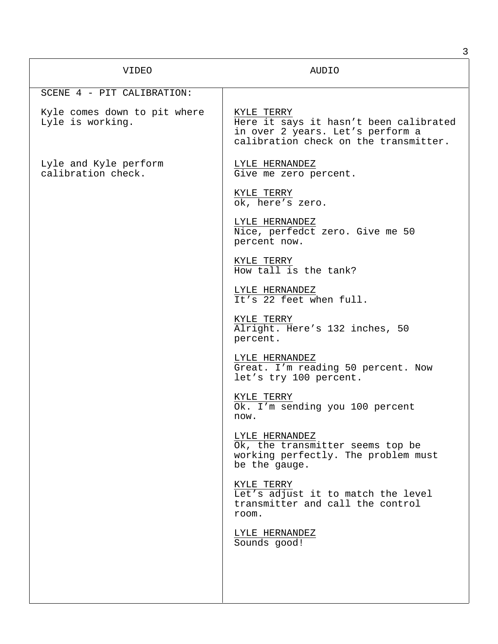| <b>VIDEO</b>                                     | AUDIO                                                                                                                             |
|--------------------------------------------------|-----------------------------------------------------------------------------------------------------------------------------------|
| SCENE 4 - PIT CALIBRATION:                       |                                                                                                                                   |
| Kyle comes down to pit where<br>Lyle is working. | KYLE TERRY<br>Here it says it hasn't been calibrated<br>in over 2 years. Let's perform a<br>calibration check on the transmitter. |
| Lyle and Kyle perform<br>calibration check.      | LYLE HERNANDEZ<br>Give me zero percent.                                                                                           |
|                                                  | KYLE TERRY<br>ok, here's zero.                                                                                                    |
|                                                  | LYLE HERNANDEZ<br>Nice, perfedct zero. Give me 50<br>percent now.                                                                 |
|                                                  | KYLE TERRY<br>How tall is the tank?                                                                                               |
|                                                  | LYLE HERNANDEZ<br>It's 22 feet when full.                                                                                         |
|                                                  | KYLE TERRY<br>Alright. Here's 132 inches, 50<br>percent.                                                                          |
|                                                  | LYLE HERNANDEZ<br>Great. I'm reading 50 percent. Now<br>let's try 100 percent.                                                    |
|                                                  | KYLE TERRY<br>Ok. I'm sending you 100 percent<br>now.                                                                             |
|                                                  | LYLE HERNANDEZ<br>Ok, the transmitter seems top be<br>working perfectly. The problem must<br>be the gauge.                        |
|                                                  | KYLE TERRY<br>Let's adjust it to match the level<br>transmitter and call the control<br>room.                                     |
|                                                  | LYLE HERNANDEZ<br>Sounds good!                                                                                                    |
|                                                  |                                                                                                                                   |
|                                                  |                                                                                                                                   |

3